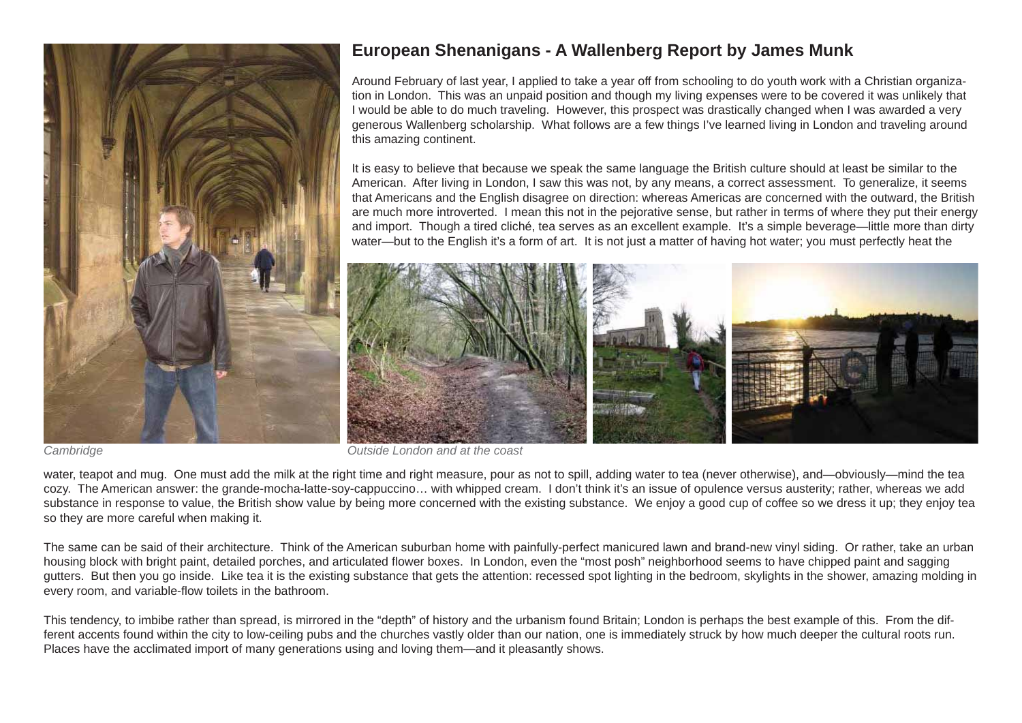

## **European Shenanigans - A Wallenberg Report by James Munk**

Around February of last year, I applied to take a year off from schooling to do youth work with a Christian organization in London. This was an unpaid position and though my living expenses were to be covered it was unlikely that I would be able to do much traveling. However, this prospect was drastically changed when I was awarded a very generous Wallenberg scholarship. What follows are a few things I've learned living in London and traveling around this amazing continent.

It is easy to believe that because we speak the same language the British culture should at least be similar to the American. After living in London, I saw this was not, by any means, a correct assessment. To generalize, it seems that Americans and the English disagree on direction: whereas Americas are concerned with the outward, the British are much more introverted. I mean this not in the pejorative sense, but rather in terms of where they put their energy and import. Though a tired cliché, tea serves as an excellent example. It's a simple beverage—little more than dirty water—but to the English it's a form of art. It is not just a matter of having hot water; you must perfectly heat the



*Cambridge Outside London and at the coast*

water, teapot and mug. One must add the milk at the right time and right measure, pour as not to spill, adding water to tea (never otherwise), and—obviously—mind the tea cozy. The American answer: the grande-mocha-latte-soy-cappuccino… with whipped cream. I don't think it's an issue of opulence versus austerity; rather, whereas we add substance in response to value, the British show value by being more concerned with the existing substance. We enjoy a good cup of coffee so we dress it up; they enjoy tea so they are more careful when making it.

The same can be said of their architecture. Think of the American suburban home with painfully-perfect manicured lawn and brand-new vinyl siding. Or rather, take an urban housing block with bright paint, detailed porches, and articulated flower boxes. In London, even the "most posh" neighborhood seems to have chipped paint and sagging gutters. But then you go inside. Like tea it is the existing substance that gets the attention: recessed spot lighting in the bedroom, skylights in the shower, amazing molding in every room, and variable-flow toilets in the bathroom.

This tendency, to imbibe rather than spread, is mirrored in the "depth" of history and the urbanism found Britain; London is perhaps the best example of this. From the different accents found within the city to low-ceiling pubs and the churches vastly older than our nation, one is immediately struck by how much deeper the cultural roots run. Places have the acclimated import of many generations using and loving them—and it pleasantly shows.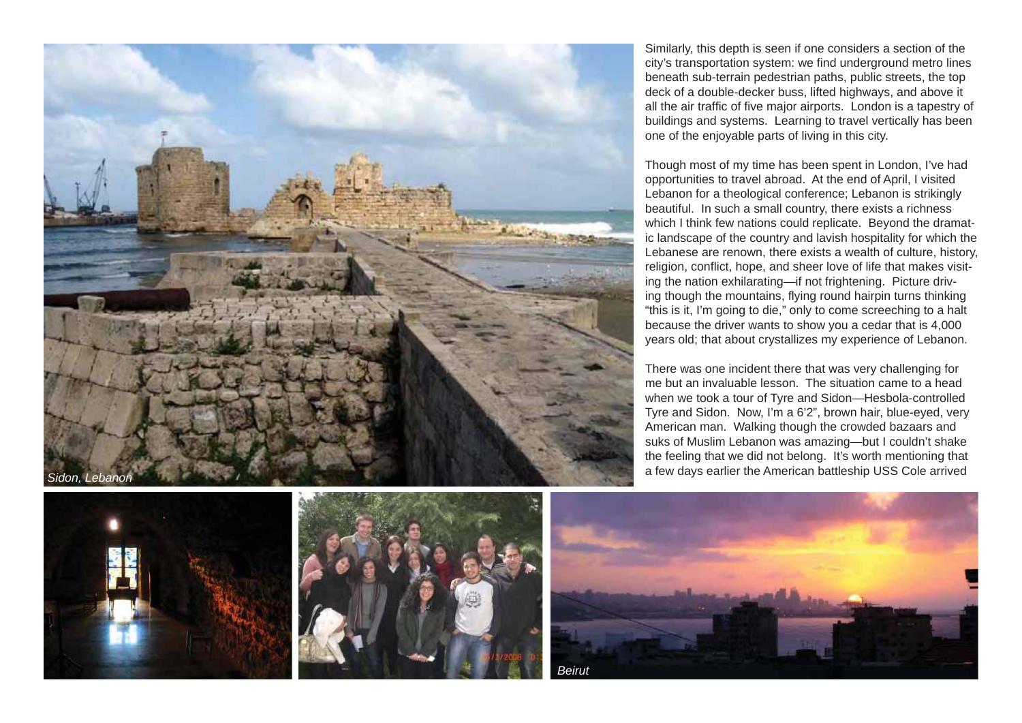

Similarly, this depth is seen if one considers a section of the city's transportation system: we find underground metro lines beneath sub-terrain pedestrian paths, public streets, the top deck of a double-decker buss, lifted highways, and above it all the air traffic of five major airports. London is a tapestry of buildings and systems. Learning to travel vertically has been one of the enjoyable parts of living in this city.

Though most of my time has been spent in London, I've had opportunities to travel abroad. At the end of April, I visited Lebanon for a theological conference; Lebanon is strikingly beautiful. In such a small country, there exists a richness which I think few nations could replicate. Beyond the dramatic landscape of the country and lavish hospitality for which the Lebanese are renown, there exists a wealth of culture, history, religion, conflict, hope, and sheer love of life that makes visiting the nation exhilarating—if not frightening. Picture driving though the mountains, flying round hairpin turns thinking "this is it, I'm going to die," only to come screeching to a halt because the driver wants to show you a cedar that is 4,000 years old; that about crystallizes my experience of Lebanon.

There was one incident there that was very challenging for me but an invaluable lesson. The situation came to a head when we took a tour of Tyre and Sidon—Hesbola-controlled Tyre and Sidon. Now, I'm a 6'2", brown hair, blue-eyed, very American man. Walking though the crowded bazaars and suks of Muslim Lebanon was amazing—but I couldn't shake the feeling that we did not belong. It's worth mentioning that





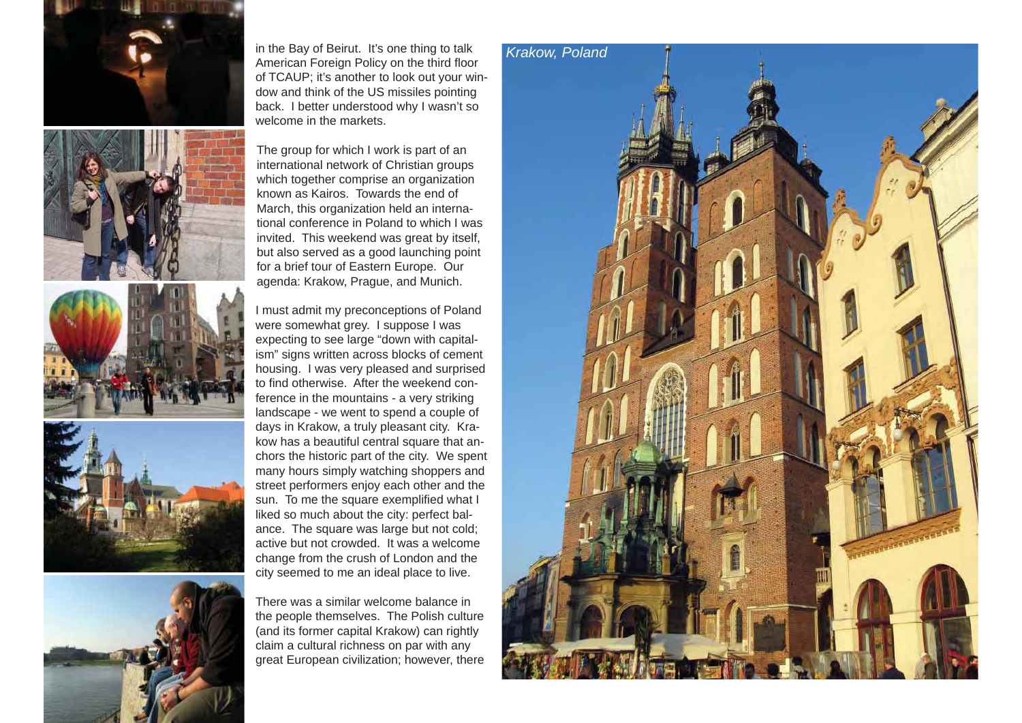









in the Bay of Beirut. It's one thing to talk American Foreign Policy on the third floor of TCAUP; it's another to look out your window and think of the US missiles pointing back. I better understood why I wasn't so welcome in the markets.

The group for which I work is part of an international network of Christian groups which together comprise an organization known as Kairos. Towards the end of March, this organization held an international conference in Poland to which I was invited. This weekend was great by itself, but also served as a good launching point for a brief tour of Eastern Europe. Our agenda: Krakow, Prague, and Munich.

I must admit my preconceptions of Poland were somewhat grey. I suppose I was expecting to see large "down with capitalism" signs written across blocks of cement housing. I was very pleased and surprised to find otherwise. After the weekend conference in the mountains - a very striking landscape - we went to spend a couple of days in Krakow, a truly pleasant city. Krakow has a beautiful central square that anchors the historic part of the city. We spent many hours simply watching shoppers and street performers enjoy each other and the sun. To me the square exemplified what I liked so much about the city: perfect balance. The square was large but not cold; active but not crowded. It was a welcome change from the crush of London and the city seemed to me an ideal place to live.

There was a similar welcome balance in the people themselves. The Polish culture (and its former capital Krakow) can rightly claim a cultural richness on par with any great European civilization; however, there

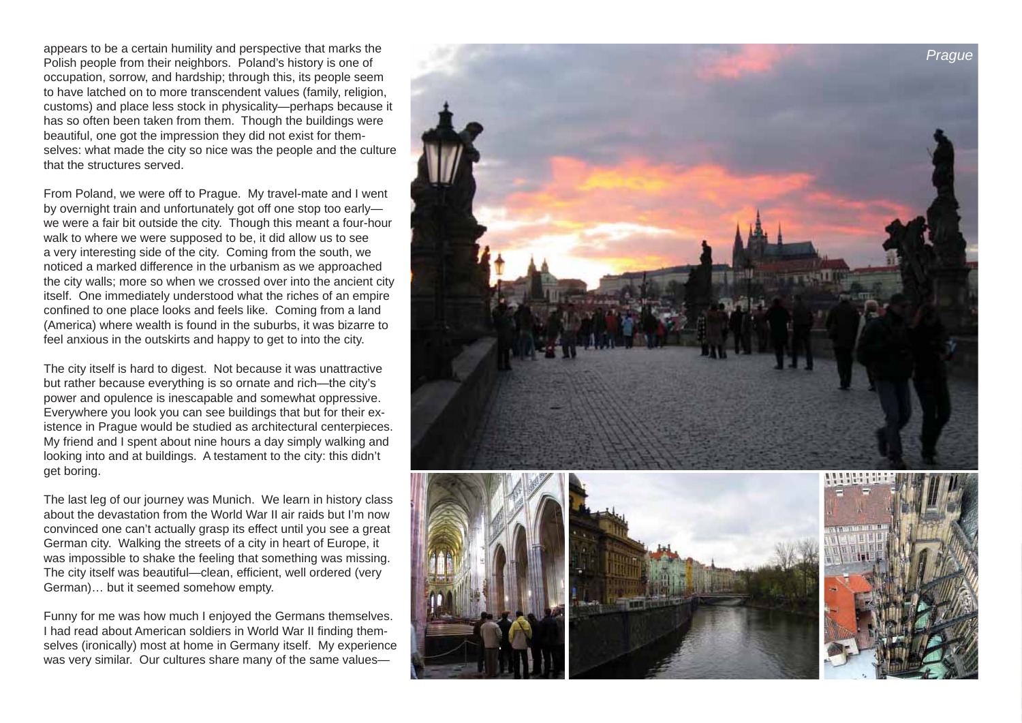appears to be a certain humility and perspective that marks the Polish people from their neighbors. Poland's history is one of occupation, sorrow, and hardship; through this, its people seem to have latched on to more transcendent values (family, religion, customs) and place less stock in physicality—perhaps because it has so often been taken from them. Though the buildings were beautiful, one got the impression they did not exist for themselves: what made the city so nice was the people and the culture that the structures served.

From Poland, we were off to Prague. My travel-mate and I went by overnight train and unfortunately got off one stop too early we were a fair bit outside the city. Though this meant a four-hour walk to where we were supposed to be, it did allow us to see a very interesting side of the city. Coming from the south, we noticed a marked difference in the urbanism as we approached the city walls; more so when we crossed over into the ancient city itself. One immediately understood what the riches of an empire confined to one place looks and feels like. Coming from a land (America) where wealth is found in the suburbs, it was bizarre to feel anxious in the outskirts and happy to get to into the city.

The city itself is hard to digest. Not because it was unattractive but rather because everything is so ornate and rich—the city's power and opulence is inescapable and somewhat oppressive. Everywhere you look you can see buildings that but for their existence in Prague would be studied as architectural centerpieces. My friend and I spent about nine hours a day simply walking and looking into and at buildings. A testament to the city: this didn't get boring.

The last leg of our journey was Munich. We learn in history class about the devastation from the World War II air raids but I'm now convinced one can't actually grasp its effect until you see a great German city. Walking the streets of a city in heart of Europe, it was impossible to shake the feeling that something was missing. The city itself was beautiful—clean, efficient, well ordered (very German)… but it seemed somehow empty.

Funny for me was how much I enjoyed the Germans themselves. I had read about American soldiers in World War II finding themselves (ironically) most at home in Germany itself. My experience was very similar. Our cultures share many of the same values—